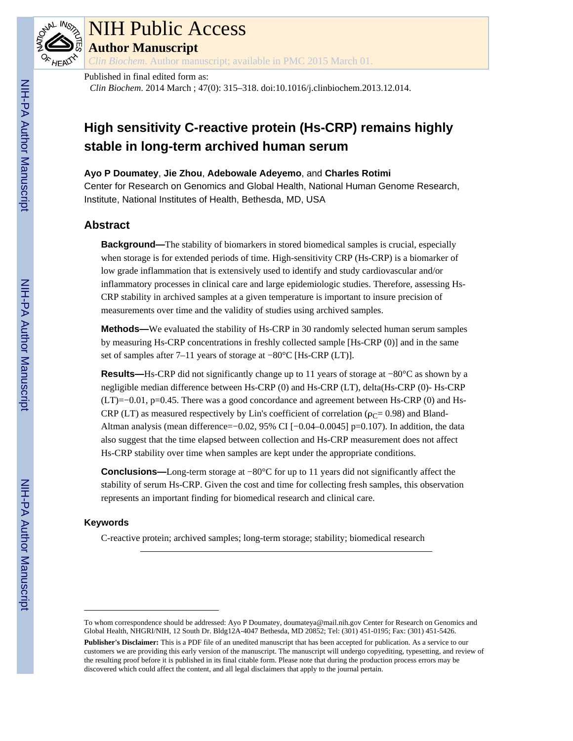

# NIH Public Access

**Author Manuscript**

*Clin Biochem*. Author manuscript; available in PMC 2015 March 01.

## Published in final edited form as:

*Clin Biochem*. 2014 March ; 47(0): 315–318. doi:10.1016/j.clinbiochem.2013.12.014.

## **High sensitivity C-reactive protein (Hs-CRP) remains highly stable in long-term archived human serum**

### **Ayo P Doumatey**, **Jie Zhou**, **Adebowale Adeyemo**, and **Charles Rotimi**

Center for Research on Genomics and Global Health, National Human Genome Research, Institute, National Institutes of Health, Bethesda, MD, USA

## **Abstract**

**Background—**The stability of biomarkers in stored biomedical samples is crucial, especially when storage is for extended periods of time. High-sensitivity CRP (Hs-CRP) is a biomarker of low grade inflammation that is extensively used to identify and study cardiovascular and/or inflammatory processes in clinical care and large epidemiologic studies. Therefore, assessing Hs-CRP stability in archived samples at a given temperature is important to insure precision of measurements over time and the validity of studies using archived samples.

**Methods—**We evaluated the stability of Hs-CRP in 30 randomly selected human serum samples by measuring Hs-CRP concentrations in freshly collected sample [Hs-CRP (0)] and in the same set of samples after 7–11 years of storage at −80°C [Hs-CRP (LT)].

**Results—**Hs-CRP did not significantly change up to 11 years of storage at −80°C as shown by a negligible median difference between Hs-CRP (0) and Hs-CRP (LT), delta(Hs-CRP (0)- Hs-CRP (LT)=−0.01, p=0.45. There was a good concordance and agreement between Hs-CRP (0) and Hs-CRP (LT) as measured respectively by Lin's coefficient of correlation ( $\rho_C$  = 0.98) and Bland-Altman analysis (mean difference=−0.02, 95% CI [−0.04–0.0045] p=0.107). In addition, the data also suggest that the time elapsed between collection and Hs-CRP measurement does not affect Hs-CRP stability over time when samples are kept under the appropriate conditions.

**Conclusions—**Long-term storage at −80°C for up to 11 years did not significantly affect the stability of serum Hs-CRP. Given the cost and time for collecting fresh samples, this observation represents an important finding for biomedical research and clinical care.

## **Keywords**

C-reactive protein; archived samples; long-term storage; stability; biomedical research

To whom correspondence should be addressed: Ayo P Doumatey, doumateya@mail.nih.gov Center for Research on Genomics and Global Health, NHGRI/NIH, 12 South Dr. Bldg12A-4047 Bethesda, MD 20852; Tel: (301) 451-0195; Fax: (301) 451-5426.

**Publisher's Disclaimer:** This is a PDF file of an unedited manuscript that has been accepted for publication. As a service to our customers we are providing this early version of the manuscript. The manuscript will undergo copyediting, typesetting, and review of the resulting proof before it is published in its final citable form. Please note that during the production process errors may be discovered which could affect the content, and all legal disclaimers that apply to the journal pertain.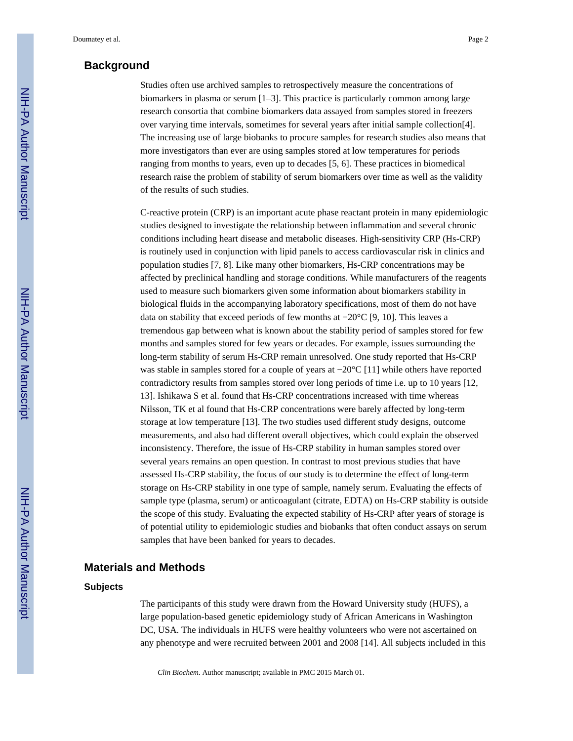## **Background**

Studies often use archived samples to retrospectively measure the concentrations of biomarkers in plasma or serum [1–3]. This practice is particularly common among large research consortia that combine biomarkers data assayed from samples stored in freezers over varying time intervals, sometimes for several years after initial sample collection[4]. The increasing use of large biobanks to procure samples for research studies also means that more investigators than ever are using samples stored at low temperatures for periods ranging from months to years, even up to decades [5, 6]. These practices in biomedical research raise the problem of stability of serum biomarkers over time as well as the validity of the results of such studies.

C-reactive protein (CRP) is an important acute phase reactant protein in many epidemiologic studies designed to investigate the relationship between inflammation and several chronic conditions including heart disease and metabolic diseases. High-sensitivity CRP (Hs-CRP) is routinely used in conjunction with lipid panels to access cardiovascular risk in clinics and population studies [7, 8]. Like many other biomarkers, Hs-CRP concentrations may be affected by preclinical handling and storage conditions. While manufacturers of the reagents used to measure such biomarkers given some information about biomarkers stability in biological fluids in the accompanying laboratory specifications, most of them do not have data on stability that exceed periods of few months at −20°C [9, 10]. This leaves a tremendous gap between what is known about the stability period of samples stored for few months and samples stored for few years or decades. For example, issues surrounding the long-term stability of serum Hs-CRP remain unresolved. One study reported that Hs-CRP was stable in samples stored for a couple of years at −20°C [11] while others have reported contradictory results from samples stored over long periods of time i.e. up to 10 years [12, 13]. Ishikawa S et al. found that Hs-CRP concentrations increased with time whereas Nilsson, TK et al found that Hs-CRP concentrations were barely affected by long-term storage at low temperature [13]. The two studies used different study designs, outcome measurements, and also had different overall objectives, which could explain the observed inconsistency. Therefore, the issue of Hs-CRP stability in human samples stored over several years remains an open question. In contrast to most previous studies that have assessed Hs-CRP stability, the focus of our study is to determine the effect of long-term storage on Hs-CRP stability in one type of sample, namely serum. Evaluating the effects of sample type (plasma, serum) or anticoagulant (citrate, EDTA) on Hs-CRP stability is outside the scope of this study. Evaluating the expected stability of Hs-CRP after years of storage is of potential utility to epidemiologic studies and biobanks that often conduct assays on serum samples that have been banked for years to decades.

## **Materials and Methods**

#### **Subjects**

The participants of this study were drawn from the Howard University study (HUFS), a large population-based genetic epidemiology study of African Americans in Washington DC, USA. The individuals in HUFS were healthy volunteers who were not ascertained on any phenotype and were recruited between 2001 and 2008 [14]. All subjects included in this

*Clin Biochem*. Author manuscript; available in PMC 2015 March 01.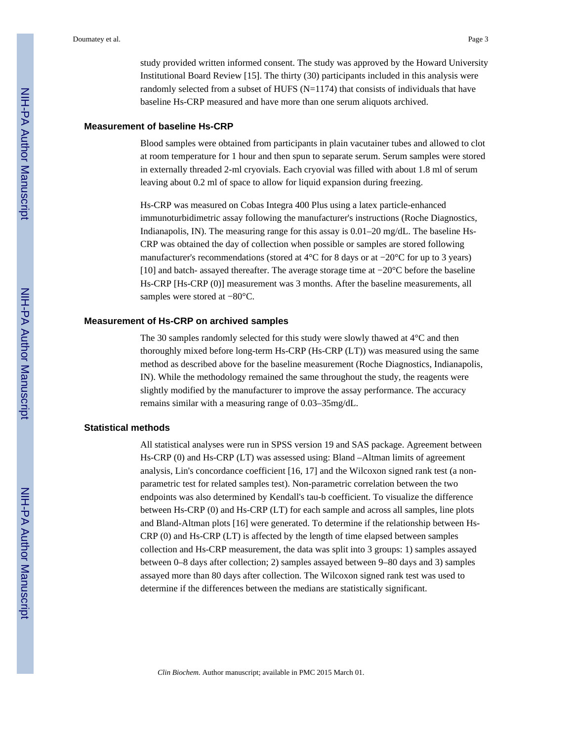study provided written informed consent. The study was approved by the Howard University Institutional Board Review [15]. The thirty (30) participants included in this analysis were randomly selected from a subset of HUFS  $(N=1174)$  that consists of individuals that have baseline Hs-CRP measured and have more than one serum aliquots archived.

#### **Measurement of baseline Hs-CRP**

Blood samples were obtained from participants in plain vacutainer tubes and allowed to clot at room temperature for 1 hour and then spun to separate serum. Serum samples were stored in externally threaded 2-ml cryovials. Each cryovial was filled with about 1.8 ml of serum leaving about 0.2 ml of space to allow for liquid expansion during freezing.

Hs-CRP was measured on Cobas Integra 400 Plus using a latex particle-enhanced immunoturbidimetric assay following the manufacturer's instructions (Roche Diagnostics, Indianapolis, IN). The measuring range for this assay is 0.01–20 mg/dL. The baseline Hs-CRP was obtained the day of collection when possible or samples are stored following manufacturer's recommendations (stored at 4°C for 8 days or at −20°C for up to 3 years) [10] and batch- assayed thereafter. The average storage time at −20°C before the baseline Hs-CRP [Hs-CRP (0)] measurement was 3 months. After the baseline measurements, all samples were stored at −80°C.

#### **Measurement of Hs-CRP on archived samples**

The 30 samples randomly selected for this study were slowly thawed at 4°C and then thoroughly mixed before long-term Hs-CRP (Hs-CRP (LT)) was measured using the same method as described above for the baseline measurement (Roche Diagnostics, Indianapolis, IN). While the methodology remained the same throughout the study, the reagents were slightly modified by the manufacturer to improve the assay performance. The accuracy remains similar with a measuring range of 0.03–35mg/dL.

#### **Statistical methods**

All statistical analyses were run in SPSS version 19 and SAS package. Agreement between Hs-CRP (0) and Hs-CRP (LT) was assessed using: Bland –Altman limits of agreement analysis, Lin's concordance coefficient [16, 17] and the Wilcoxon signed rank test (a nonparametric test for related samples test). Non-parametric correlation between the two endpoints was also determined by Kendall's tau-b coefficient. To visualize the difference between Hs-CRP (0) and Hs-CRP (LT) for each sample and across all samples, line plots and Bland-Altman plots [16] were generated. To determine if the relationship between Hs-CRP (0) and Hs-CRP (LT) is affected by the length of time elapsed between samples collection and Hs-CRP measurement, the data was split into 3 groups: 1) samples assayed between 0–8 days after collection; 2) samples assayed between 9–80 days and 3) samples assayed more than 80 days after collection. The Wilcoxon signed rank test was used to determine if the differences between the medians are statistically significant.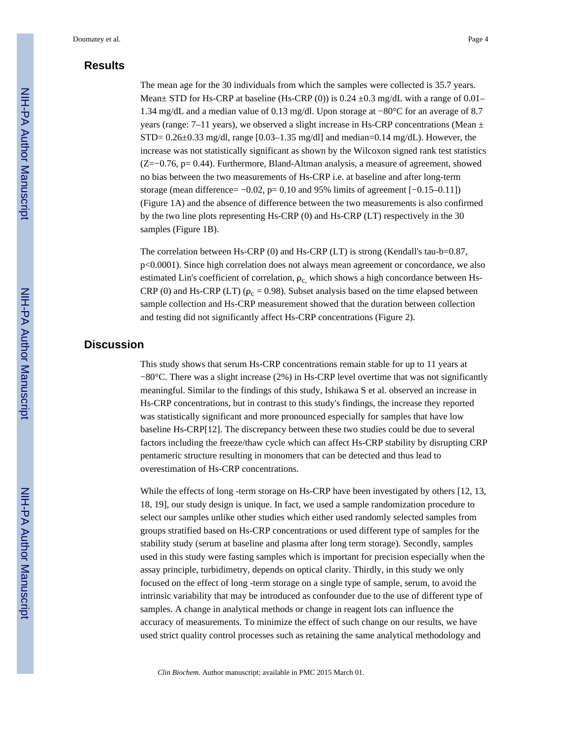## **Results**

The mean age for the 30 individuals from which the samples were collected is 35.7 years. Mean $\pm$  STD for Hs-CRP at baseline (Hs-CRP (0)) is 0.24  $\pm$ 0.3 mg/dL with a range of 0.01– 1.34 mg/dL and a median value of 0.13 mg/dl. Upon storage at −80°C for an average of 8.7 years (range: 7–11 years), we observed a slight increase in Hs-CRP concentrations (Mean  $\pm$ STD=  $0.26\pm0.33$  mg/dl, range  $[0.03-1.35$  mg/dl] and median= $0.14$  mg/dL). However, the increase was not statistically significant as shown by the Wilcoxon signed rank test statistics (Z=−0.76, p= 0.44). Furthermore, Bland-Altman analysis, a measure of agreement, showed no bias between the two measurements of Hs-CRP i.e. at baseline and after long-term storage (mean difference=  $-0.02$ , p= 0.10 and 95% limits of agreement  $[-0.15-0.11]$ ) (Figure 1A) and the absence of difference between the two measurements is also confirmed by the two line plots representing Hs-CRP (0) and Hs-CRP (LT) respectively in the 30 samples (Figure 1B).

The correlation between Hs-CRP (0) and Hs-CRP (LT) is strong (Kendall's tau-b=0.87, p<0.0001). Since high correlation does not always mean agreement or concordance, we also estimated Lin's coefficient of correlation,  $\rho_c$ , which shows a high concordance between Hs-CRP (0) and Hs-CRP (LT) ( $\rho_c$  = 0.98). Subset analysis based on the time elapsed between sample collection and Hs-CRP measurement showed that the duration between collection and testing did not significantly affect Hs-CRP concentrations (Figure 2).

## **Discussion**

This study shows that serum Hs-CRP concentrations remain stable for up to 11 years at −80°C. There was a slight increase (2%) in Hs-CRP level overtime that was not significantly meaningful. Similar to the findings of this study, Ishikawa S et al. observed an increase in Hs-CRP concentrations, but in contrast to this study's findings, the increase they reported was statistically significant and more pronounced especially for samples that have low baseline Hs-CRP[12]. The discrepancy between these two studies could be due to several factors including the freeze/thaw cycle which can affect Hs-CRP stability by disrupting CRP pentameric structure resulting in monomers that can be detected and thus lead to overestimation of Hs-CRP concentrations.

While the effects of long -term storage on Hs-CRP have been investigated by others [12, 13, 18, 19], our study design is unique. In fact, we used a sample randomization procedure to select our samples unlike other studies which either used randomly selected samples from groups stratified based on Hs-CRP concentrations or used different type of samples for the stability study (serum at baseline and plasma after long term storage). Secondly, samples used in this study were fasting samples which is important for precision especially when the assay principle, turbidimetry, depends on optical clarity. Thirdly, in this study we only focused on the effect of long -term storage on a single type of sample, serum, to avoid the intrinsic variability that may be introduced as confounder due to the use of different type of samples. A change in analytical methods or change in reagent lots can influence the accuracy of measurements. To minimize the effect of such change on our results, we have used strict quality control processes such as retaining the same analytical methodology and

*Clin Biochem*. Author manuscript; available in PMC 2015 March 01.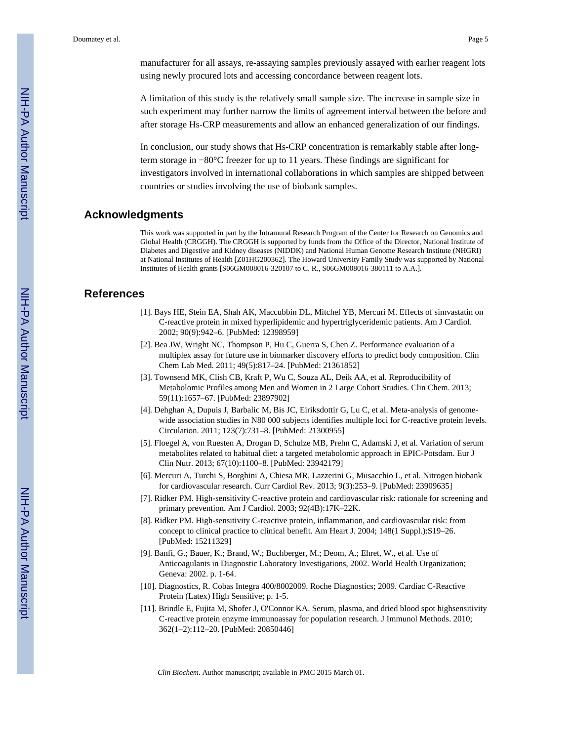manufacturer for all assays, re-assaying samples previously assayed with earlier reagent lots using newly procured lots and accessing concordance between reagent lots.

A limitation of this study is the relatively small sample size. The increase in sample size in such experiment may further narrow the limits of agreement interval between the before and after storage Hs-CRP measurements and allow an enhanced generalization of our findings.

In conclusion, our study shows that Hs-CRP concentration is remarkably stable after longterm storage in −80°C freezer for up to 11 years. These findings are significant for investigators involved in international collaborations in which samples are shipped between countries or studies involving the use of biobank samples.

#### **Acknowledgments**

This work was supported in part by the Intramural Research Program of the Center for Research on Genomics and Global Health (CRGGH). The CRGGH is supported by funds from the Office of the Director, National Institute of Diabetes and Digestive and Kidney diseases (NIDDK) and National Human Genome Research Institute (NHGRI) at National Institutes of Health [Z01HG200362]. The Howard University Family Study was supported by National Institutes of Health grants [S06GM008016-320107 to C. R., S06GM008016-380111 to A.A.].

#### **References**

- [1]. Bays HE, Stein EA, Shah AK, Maccubbin DL, Mitchel YB, Mercuri M. Effects of simvastatin on C-reactive protein in mixed hyperlipidemic and hypertriglyceridemic patients. Am J Cardiol. 2002; 90(9):942–6. [PubMed: 12398959]
- [2]. Bea JW, Wright NC, Thompson P, Hu C, Guerra S, Chen Z. Performance evaluation of a multiplex assay for future use in biomarker discovery efforts to predict body composition. Clin Chem Lab Med. 2011; 49(5):817–24. [PubMed: 21361852]
- [3]. Townsend MK, Clish CB, Kraft P, Wu C, Souza AL, Deik AA, et al. Reproducibility of Metabolomic Profiles among Men and Women in 2 Large Cohort Studies. Clin Chem. 2013; 59(11):1657–67. [PubMed: 23897902]
- [4]. Dehghan A, Dupuis J, Barbalic M, Bis JC, Eiriksdottir G, Lu C, et al. Meta-analysis of genomewide association studies in N80 000 subjects identifies multiple loci for C-reactive protein levels. Circulation. 2011; 123(7):731–8. [PubMed: 21300955]
- [5]. Floegel A, von Ruesten A, Drogan D, Schulze MB, Prehn C, Adamski J, et al. Variation of serum metabolites related to habitual diet: a targeted metabolomic approach in EPIC-Potsdam. Eur J Clin Nutr. 2013; 67(10):1100–8. [PubMed: 23942179]
- [6]. Mercuri A, Turchi S, Borghini A, Chiesa MR, Lazzerini G, Musacchio L, et al. Nitrogen biobank for cardiovascular research. Curr Cardiol Rev. 2013; 9(3):253–9. [PubMed: 23909635]
- [7]. Ridker PM. High-sensitivity C-reactive protein and cardiovascular risk: rationale for screening and primary prevention. Am J Cardiol. 2003; 92(4B):17K–22K.
- [8]. Ridker PM. High-sensitivity C-reactive protein, inflammation, and cardiovascular risk: from concept to clinical practice to clinical benefit. Am Heart J. 2004; 148(1 Suppl.):S19–26. [PubMed: 15211329]
- [9]. Banfi, G.; Bauer, K.; Brand, W.; Buchberger, M.; Deom, A.; Ehret, W., et al. Use of Anticoagulants in Diagnostic Laboratory Investigations, 2002. World Health Organization; Geneva: 2002. p. 1-64.
- [10]. Diagnostics, R. Cobas Integra 400/8002009. Roche Diagnostics; 2009. Cardiac C-Reactive Protein (Latex) High Sensitive; p. 1-5.
- [11]. Brindle E, Fujita M, Shofer J, O'Connor KA. Serum, plasma, and dried blood spot highsensitivity C-reactive protein enzyme immunoassay for population research. J Immunol Methods. 2010; 362(1–2):112–20. [PubMed: 20850446]

*Clin Biochem*. Author manuscript; available in PMC 2015 March 01.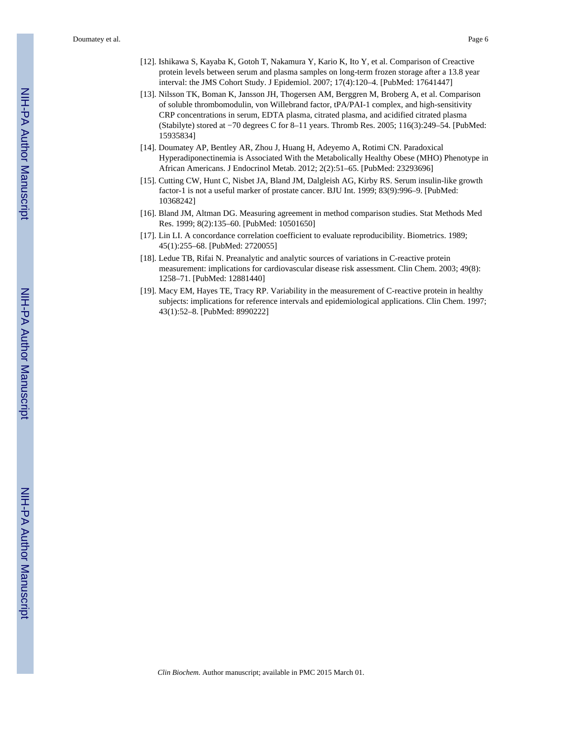Doumatey et al. Page 6

- [12]. Ishikawa S, Kayaba K, Gotoh T, Nakamura Y, Kario K, Ito Y, et al. Comparison of Creactive protein levels between serum and plasma samples on long-term frozen storage after a 13.8 year interval: the JMS Cohort Study. J Epidemiol. 2007; 17(4):120–4. [PubMed: 17641447]
- [13]. Nilsson TK, Boman K, Jansson JH, Thogersen AM, Berggren M, Broberg A, et al. Comparison of soluble thrombomodulin, von Willebrand factor, tPA/PAI-1 complex, and high-sensitivity CRP concentrations in serum, EDTA plasma, citrated plasma, and acidified citrated plasma (Stabilyte) stored at −70 degrees C for 8–11 years. Thromb Res. 2005; 116(3):249–54. [PubMed: 15935834]
- [14]. Doumatey AP, Bentley AR, Zhou J, Huang H, Adeyemo A, Rotimi CN. Paradoxical Hyperadiponectinemia is Associated With the Metabolically Healthy Obese (MHO) Phenotype in African Americans. J Endocrinol Metab. 2012; 2(2):51–65. [PubMed: 23293696]
- [15]. Cutting CW, Hunt C, Nisbet JA, Bland JM, Dalgleish AG, Kirby RS. Serum insulin-like growth factor-1 is not a useful marker of prostate cancer. BJU Int. 1999; 83(9):996–9. [PubMed: 10368242]
- [16]. Bland JM, Altman DG. Measuring agreement in method comparison studies. Stat Methods Med Res. 1999; 8(2):135–60. [PubMed: 10501650]
- [17]. Lin LI. A concordance correlation coefficient to evaluate reproducibility. Biometrics. 1989; 45(1):255–68. [PubMed: 2720055]
- [18]. Ledue TB, Rifai N. Preanalytic and analytic sources of variations in C-reactive protein measurement: implications for cardiovascular disease risk assessment. Clin Chem. 2003; 49(8): 1258–71. [PubMed: 12881440]
- [19]. Macy EM, Hayes TE, Tracy RP. Variability in the measurement of C-reactive protein in healthy subjects: implications for reference intervals and epidemiological applications. Clin Chem. 1997; 43(1):52–8. [PubMed: 8990222]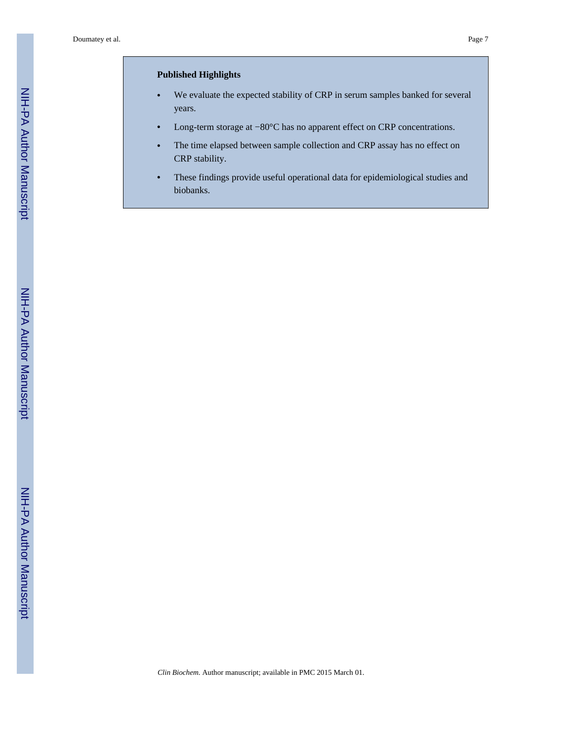#### **Published Highlights**

- **•** We evaluate the expected stability of CRP in serum samples banked for several years.
- **•** Long-term storage at −80°C has no apparent effect on CRP concentrations.
- **•** The time elapsed between sample collection and CRP assay has no effect on CRP stability.
- **•** These findings provide useful operational data for epidemiological studies and biobanks.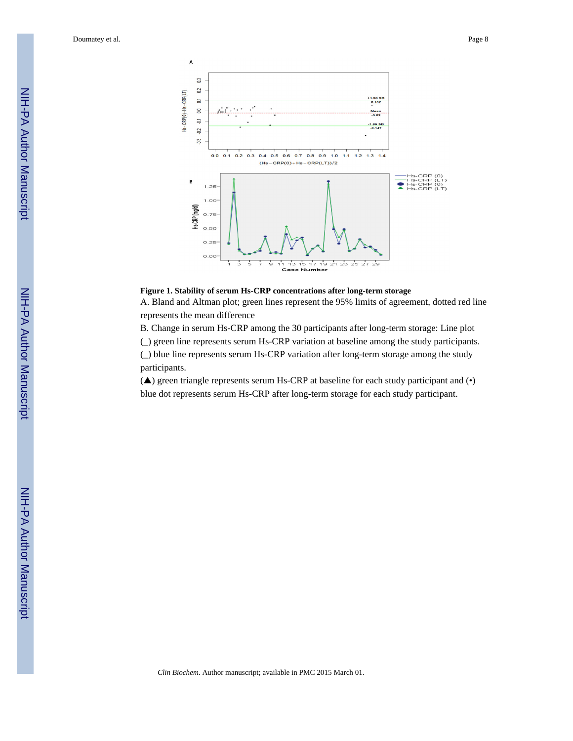

**Figure 1. Stability of serum Hs-CRP concentrations after long-term storage**

A. Bland and Altman plot; green lines represent the 95% limits of agreement, dotted red line represents the mean difference

B. Change in serum Hs-CRP among the 30 participants after long-term storage: Line plot

(\_) green line represents serum Hs-CRP variation at baseline among the study participants.

(\_) blue line represents serum Hs-CRP variation after long-term storage among the study participants.

(▲) green triangle represents serum Hs-CRP at baseline for each study participant and (•) blue dot represents serum Hs-CRP after long-term storage for each study participant.